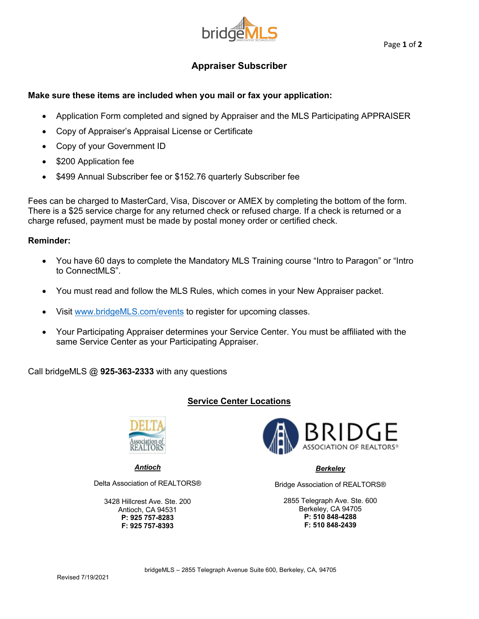

#### Page **1** of **2**

# **Appraiser Subscriber**

## **Make sure these items are included when you mail or fax your application:**

- Application Form completed and signed by Appraiser and the MLS Participating APPRAISER
- Copy of Appraiser's Appraisal License or Certificate
- Copy of your Government ID
- \$200 Application fee
- \$499 Annual Subscriber fee or \$152.76 quarterly Subscriber fee

Fees can be charged to MasterCard, Visa, Discover or AMEX by completing the bottom of the form. There is a \$25 service charge for any returned check or refused charge. If a check is returned or a charge refused, payment must be made by postal money order or certified check.

### **Reminder:**

- You have 60 days to complete the Mandatory MLS Training course "Intro to Paragon" or "Intro to ConnectMLS".
- You must read and follow the MLS Rules, which comes in your New Appraiser packet.
- Visit www.bridgeMLS.com/events to register for upcoming classes.
- Your Participating Appraiser determines your Service Center. You must be affiliated with the same Service Center as your Participating Appraiser.

Call bridgeMLS @ **925-363-2333** with any questions

## **Service Center Locations**



*Antioch*

Delta Association of REALTORS®

3428 Hillcrest Ave. Ste. 200 Antioch, CA 94531 **P: 925 757-8283 F: 925 757-8393**



### *Berkeley*

Bridge Association of REALTORS®

2855 Telegraph Ave. Ste. 600 Berkeley, CA 94705 **P: 510 848-4288 F: 510 848-2439**